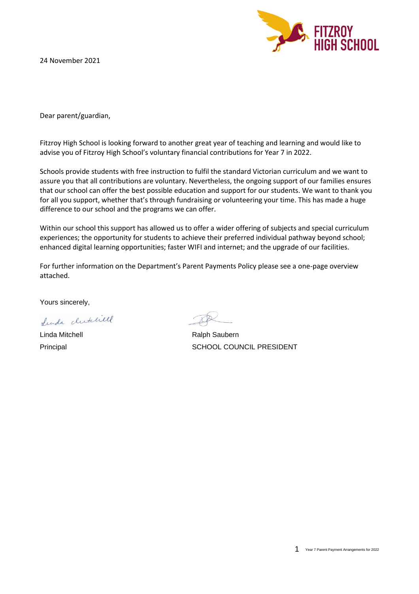24 November 2021



Dear parent/guardian,

Fitzroy High School is looking forward to another great year of teaching and learning and would like to advise you of Fitzroy High School's voluntary financial contributions for Year 7 in 2022.

Schools provide students with free instruction to fulfil the standard Victorian curriculum and we want to assure you that all contributions are voluntary. Nevertheless, the ongoing support of our families ensures that our school can offer the best possible education and support for our students. We want to thank you for all you support, whether that's through fundraising or volunteering your time. This has made a huge difference to our school and the programs we can offer.

Within our school this support has allowed us to offer a wider offering of subjects and special curriculum experiences; the opportunity for students to achieve their preferred individual pathway beyond school; enhanced digital learning opportunities; faster WIFI and internet; and the upgrade of our facilities.

For further information on the Department's Parent Payments Policy please see a one-page overview attached.

Yours sincerely,

Lunda clutchell

Linda Mitchell **Ralph Saubern** Ralph Saubern Principal SCHOOL COUNCIL PRESIDENT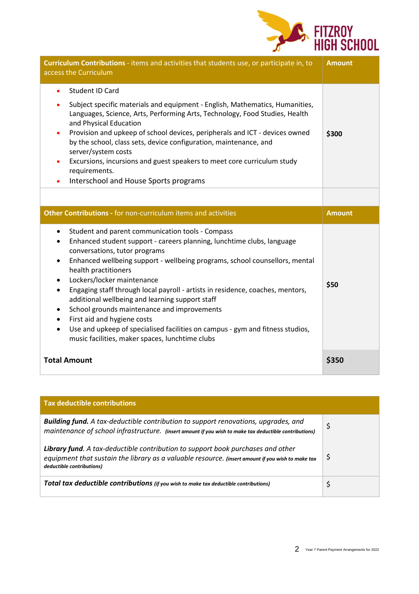

| Curriculum Contributions - items and activities that students use, or participate in, to<br>access the Curriculum                                                                                                                                                                                                                                                                                                                                                                                                                                          | <b>Amount</b> |
|------------------------------------------------------------------------------------------------------------------------------------------------------------------------------------------------------------------------------------------------------------------------------------------------------------------------------------------------------------------------------------------------------------------------------------------------------------------------------------------------------------------------------------------------------------|---------------|
| <b>Student ID Card</b><br>Subject specific materials and equipment - English, Mathematics, Humanities,<br>٠<br>Languages, Science, Arts, Performing Arts, Technology, Food Studies, Health<br>and Physical Education<br>Provision and upkeep of school devices, peripherals and ICT - devices owned<br>$\bullet$<br>by the school, class sets, device configuration, maintenance, and<br>server/system costs<br>Excursions, incursions and guest speakers to meet core curriculum study<br>٠<br>requirements.<br>Interschool and House Sports programs     | \$300         |
|                                                                                                                                                                                                                                                                                                                                                                                                                                                                                                                                                            |               |
| Other Contributions - for non-curriculum items and activities                                                                                                                                                                                                                                                                                                                                                                                                                                                                                              | <b>Amount</b> |
| Student and parent communication tools - Compass<br>$\bullet$<br>Enhanced student support - careers planning, lunchtime clubs, language<br>٠<br>conversations, tutor programs<br>Enhanced wellbeing support - wellbeing programs, school counsellors, mental<br>$\bullet$<br>health practitioners<br>Lockers/locker maintenance<br>$\bullet$<br>Engaging staff through local payroll - artists in residence, coaches, mentors,<br>$\bullet$<br>additional wellbeing and learning support staff<br>School grounds maintenance and improvements<br>$\bullet$ | \$50          |
| First aid and hygiene costs<br>$\bullet$<br>Use and upkeep of specialised facilities on campus - gym and fitness studios,<br>$\bullet$<br>music facilities, maker spaces, lunchtime clubs                                                                                                                                                                                                                                                                                                                                                                  |               |

| <b>Tax deductible contributions</b>                                                                                                                                                                               |    |
|-------------------------------------------------------------------------------------------------------------------------------------------------------------------------------------------------------------------|----|
| <b>Building fund.</b> A tax-deductible contribution to support renovations, upgrades, and<br>maintenance of school infrastructure. (insert amount if you wish to make tax deductible contributions)               |    |
| Library fund. A tax-deductible contribution to support book purchases and other<br>equipment that sustain the library as a valuable resource. (insert amount if you wish to make tax<br>deductible contributions) | \$ |
| <b>Total tax deductible contributions</b> (if you wish to make tax deductible contributions)                                                                                                                      |    |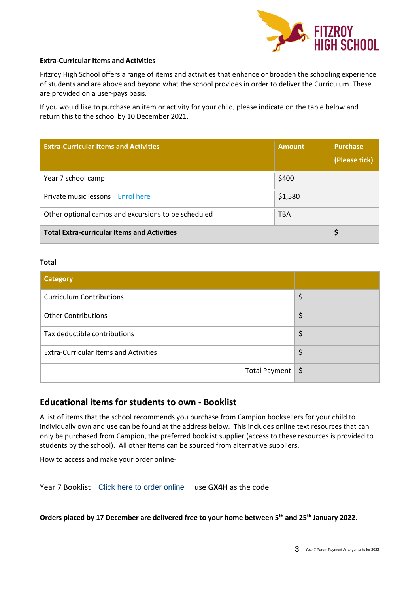

#### **Extra-Curricular Items and Activities**

Fitzroy High School offers a range of items and activities that enhance or broaden the schooling experience of students and are above and beyond what the school provides in order to deliver the Curriculum. These are provided on a user-pays basis.

If you would like to purchase an item or activity for your child, please indicate on the table below and return this to the school by 10 December 2021.

| <b>Extra-Curricular Items and Activities</b>        | <b>Amount</b> | <b>Purchase</b><br>(Please tick) |
|-----------------------------------------------------|---------------|----------------------------------|
| Year 7 school camp                                  | \$400         |                                  |
| Private music lessons Enrol here                    | \$1,580       |                                  |
| Other optional camps and excursions to be scheduled | <b>TBA</b>    |                                  |
| <b>Total Extra-curricular Items and Activities</b>  |               |                                  |

#### **Total**

| <b>Category</b>                              |    |
|----------------------------------------------|----|
| <b>Curriculum Contributions</b>              | \$ |
| <b>Other Contributions</b>                   | \$ |
| Tax deductible contributions                 | \$ |
| <b>Extra-Curricular Items and Activities</b> | \$ |
| Total Payment $\frac{1}{5}$                  |    |

## **Educational items for students to own - Booklist**

A list of items that the school recommends you purchase from Campion booksellers for your child to individually own and use can be found at the address below. This includes online text resources that can only be purchased from Campion, the preferred booklist supplier (access to these resources is provided to students by the school). All other items can be sourced from alternative suppliers.

How to access and make your order online-

Year 7 Booklist [Click here to order online](https://order.campion.com.au/index.html#resourceListListView?code=P34YMWMC) use **GX4H** as the code

**Orders placed by 17 December are delivered free to your home between 5th and 25th January 2022.**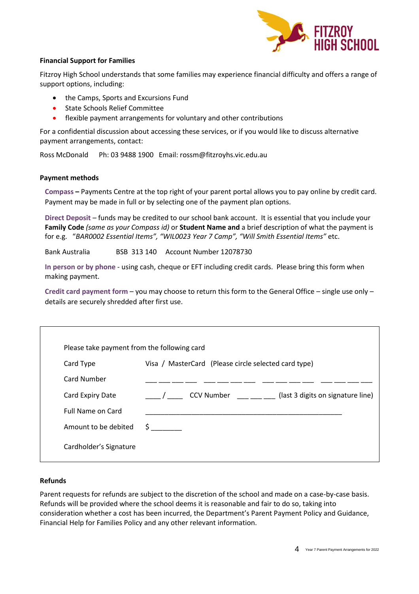

## **Financial Support for Families**

Fitzroy High School understands that some families may experience financial difficulty and offers a range of support options, including:

- the Camps, Sports and Excursions Fund
- State Schools Relief Committee
- flexible payment arrangements for voluntary and other contributions

For a confidential discussion about accessing these services, or if you would like to discuss alternative payment arrangements, contact:

Ross McDonald Ph: 03 9488 1900 Email: rossm@fitzroyhs.vic.edu.au

## **Payment methods**

**Compass –** Payments Centre at the top right of your parent portal allows you to pay online by credit card. Payment may be made in full or by selecting one of the payment plan options.

**Direct Deposit** – funds may be credited to our school bank account. It is essential that you include your **Family Code** *(same as your Compass id)* or **Student Name and** a brief description of what the payment is for e.g. "*BAR0002 Essential Items", "WIL0023 Year 7 Camp", "Will Smith Essential Items"* etc.

Bank Australia BSB 313 140 Account Number 12078730

**In person or by phone** - using cash, cheque or EFT including credit cards. Please bring this form when making payment.

**Credit card payment form** – you may choose to return this form to the General Office – single use only – details are securely shredded after first use.

| Please take payment from the following card            |  |
|--------------------------------------------------------|--|
| Visa / MasterCard (Please circle selected card type)   |  |
|                                                        |  |
| <b>CCV Number</b><br>(last 3 digits on signature line) |  |
|                                                        |  |
| S.                                                     |  |
|                                                        |  |
|                                                        |  |

## **Refunds**

Parent requests for refunds are subject to the discretion of the school and made on a case-by-case basis. Refunds will be provided where the school deems it is reasonable and fair to do so, taking into consideration whether a cost has been incurred, the Department's Parent Payment Policy and Guidance, Financial Help for Families Policy and any other relevant information.